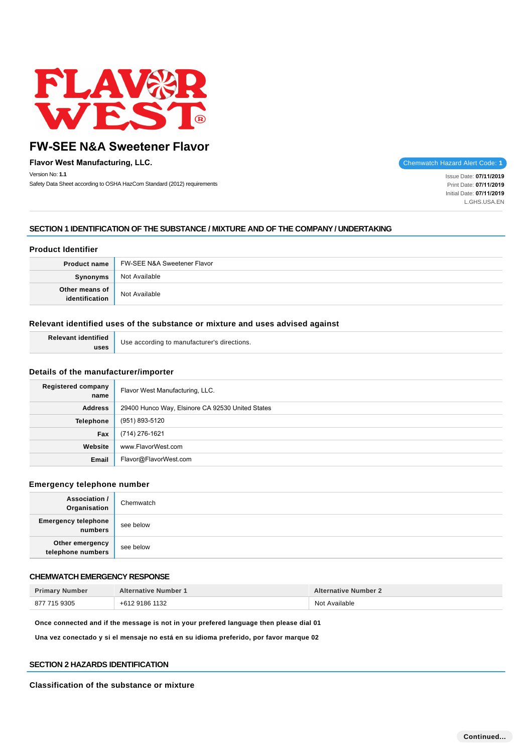

**Flavor West Manufacturing, LLC. Chemwatch Hazard Alert Code: 1** Version No: **1.1**

Safety Data Sheet according to OSHA HazCom Standard (2012) requirements

Issue Date: **07/11/2019**  Print Date: **07/11/2019**  Initial Date: **07/11/2019**  L.GHS.USA.EN

# **SECTION 1 IDENTIFICATION OF THE SUBSTANCE / MIXTURE AND OF THE COMPANY / UNDERTAKING**

# **Product Identifier**

| <b>Product name</b> | FW-SEE N&A Sweetener Flavor |
|---------------------|-----------------------------|
| <b>Synonyms</b>     | Not Available               |
| Other means of      | Not Available               |

# **Relevant identified uses of the substance or mixture and uses advised against**

| Relevant identified | Use according to manufacturer's directions. |
|---------------------|---------------------------------------------|
| uses                |                                             |

# **Details of the manufacturer/importer**

| Registered company<br>name | Flavor West Manufacturing, LLC.                  |
|----------------------------|--------------------------------------------------|
| <b>Address</b>             | 29400 Hunco Way, Elsinore CA 92530 United States |
| Telephone                  | (951) 893-5120                                   |
| Fax                        | (714) 276-1621                                   |
| Website                    | www.FlavorWest.com                               |
| Email                      | Flavor@FlavorWest.com                            |

### **Emergency telephone number**

| <b>Association /</b><br>Organisation  | Chemwatch |
|---------------------------------------|-----------|
| <b>Emergency telephone</b><br>numbers | see below |
| Other emergency<br>telephone numbers  | see below |

# **CHEMWATCH EMERGENCY RESPONSE**

| <b>Primary Number</b> | <b>Alternative Number 1</b> | <b>Alternative Number 2</b> |
|-----------------------|-----------------------------|-----------------------------|
| 877 715 9305          | +612 9186 1132              | Not Available               |

**Once connected and if the message is not in your prefered language then please dial 01**

**Una vez conectado y si el mensaje no está en su idioma preferido, por favor marque 02**

# **SECTION 2 HAZARDS IDENTIFICATION**

**Classification of the substance or mixture**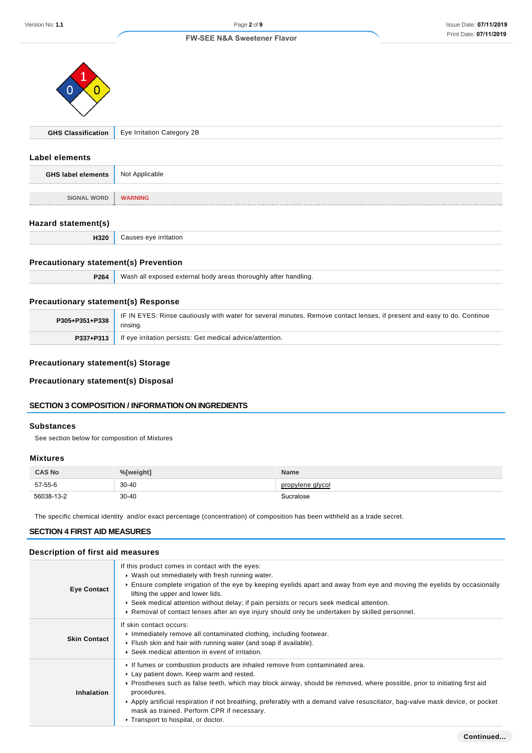

|  | <b>GHS Classification</b>   Eye Irritation Category 2B |
|--|--------------------------------------------------------|
|--|--------------------------------------------------------|

### **Label elements**

| <b>GHS label elements</b> | Not Applicable |
|---------------------------|----------------|
|                           |                |
| <b>SIGNAL WORD</b>        | <b>WARNING</b> |
| --------                  |                |

# **Hazard statement(s)**

| H320 | Causes eye irritation |
|------|-----------------------|
|------|-----------------------|

# **Precautionary statement(s) Prevention**

|  | <b>P264</b> Wash all exposed external body areas thoroughly after handling. |
|--|-----------------------------------------------------------------------------|
|--|-----------------------------------------------------------------------------|

# **Precautionary statement(s) Response**

| P305+P351+P338 | IF IN EYES: Rinse cautiously with water for several minutes. Remove contact lenses, if present and easy to do. Continue<br>rinsing. |
|----------------|-------------------------------------------------------------------------------------------------------------------------------------|
|                | <b>P337+P313</b> If eye irritation persists: Get medical advice/attention.                                                          |

# **Precautionary statement(s) Storage**

**Precautionary statement(s) Disposal**

# **SECTION 3 COMPOSITION / INFORMATION ON INGREDIENTS**

# **Substances**

See section below for composition of Mixtures

# **Mixtures**

| <b>CAS No</b> | %[weight] | <b>Name</b>      |
|---------------|-----------|------------------|
| 57-55-6       | $30 - 40$ | propylene glycol |
| 56038-13-2    | $30 - 40$ | Sucralose        |

The specific chemical identity and/or exact percentage (concentration) of composition has been withheld as a trade secret.

### **SECTION 4 FIRST AID MEASURES**

# **Description of first aid measures**

| <b>Eye Contact</b>  | If this product comes in contact with the eyes:<br>• Wash out immediately with fresh running water.<br>Ensure complete irrigation of the eye by keeping eyelids apart and away from eye and moving the eyelids by occasionally<br>lifting the upper and lower lids.<br>► Seek medical attention without delay; if pain persists or recurs seek medical attention.<br>► Removal of contact lenses after an eye injury should only be undertaken by skilled personnel.                    |
|---------------------|-----------------------------------------------------------------------------------------------------------------------------------------------------------------------------------------------------------------------------------------------------------------------------------------------------------------------------------------------------------------------------------------------------------------------------------------------------------------------------------------|
| <b>Skin Contact</b> | If skin contact occurs:<br>Immediately remove all contaminated clothing, including footwear.<br>Flush skin and hair with running water (and soap if available).<br>▶ Seek medical attention in event of irritation.                                                                                                                                                                                                                                                                     |
| Inhalation          | If fumes or combustion products are inhaled remove from contaminated area.<br>Lay patient down. Keep warm and rested.<br>▶ Prostheses such as false teeth, which may block airway, should be removed, where possible, prior to initiating first aid<br>procedures.<br>▶ Apply artificial respiration if not breathing, preferably with a demand valve resuscitator, bag-valve mask device, or pocket<br>mask as trained. Perform CPR if necessary.<br>Transport to hospital, or doctor. |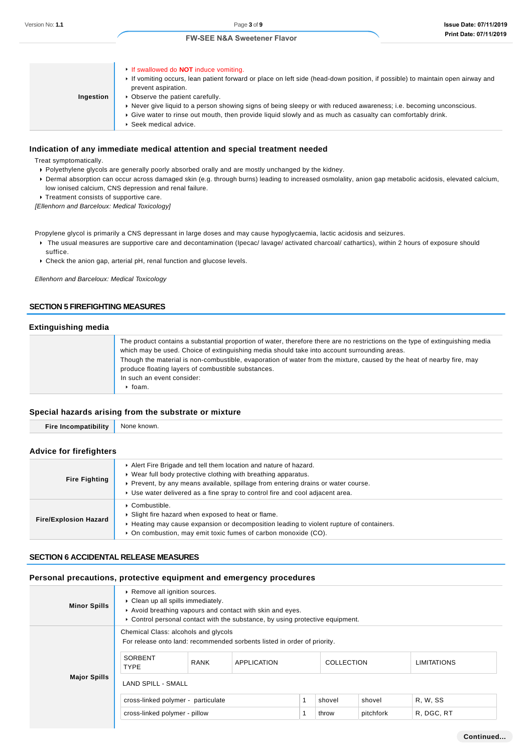| Ingestion | If swallowed do <b>NOT</b> induce vomiting.<br>If vomiting occurs, lean patient forward or place on left side (head-down position, if possible) to maintain open airway and<br>prevent aspiration.<br>• Observe the patient carefully.<br>► Never give liquid to a person showing signs of being sleepy or with reduced awareness; i.e. becoming unconscious.<br>► Give water to rinse out mouth, then provide liquid slowly and as much as casualty can comfortably drink.<br>▶ Seek medical advice. |
|-----------|-------------------------------------------------------------------------------------------------------------------------------------------------------------------------------------------------------------------------------------------------------------------------------------------------------------------------------------------------------------------------------------------------------------------------------------------------------------------------------------------------------|

# **Indication of any immediate medical attention and special treatment needed**

Treat symptomatically.

- Polyethylene glycols are generally poorly absorbed orally and are mostly unchanged by the kidney.
- Dermal absorption can occur across damaged skin (e.g. through burns) leading to increased osmolality, anion gap metabolic acidosis, elevated calcium, low ionised calcium, CNS depression and renal failure.
- **Treatment consists of supportive care.**

[Ellenhorn and Barceloux: Medical Toxicology]

Propylene glycol is primarily a CNS depressant in large doses and may cause hypoglycaemia, lactic acidosis and seizures.

- ▶ The usual measures are supportive care and decontamination (Ipecac/ lavage/ activated charcoal/ cathartics), within 2 hours of exposure should suffice.
- Check the anion gap, arterial pH, renal function and glucose levels.

Ellenhorn and Barceloux: Medical Toxicology

# **SECTION 5 FIREFIGHTING MEASURES**

### **Extinguishing media**

### **Special hazards arising from the substrate or mixture**

| <br>Fir<br> | ∩wr<br>Noi |
|-------------|------------|
|             |            |

### **Advice for firefighters**

| <b>Fire Fighting</b>         | Alert Fire Brigade and tell them location and nature of hazard.<br>• Wear full body protective clothing with breathing apparatus.<br>• Prevent, by any means available, spillage from entering drains or water course.<br>• Use water delivered as a fine spray to control fire and cool adjacent area. |
|------------------------------|---------------------------------------------------------------------------------------------------------------------------------------------------------------------------------------------------------------------------------------------------------------------------------------------------------|
| <b>Fire/Explosion Hazard</b> | $\triangleright$ Combustible.<br>Slight fire hazard when exposed to heat or flame.<br>► Heating may cause expansion or decomposition leading to violent rupture of containers.<br>• On combustion, may emit toxic fumes of carbon monoxide (CO).                                                        |

#### **SECTION 6 ACCIDENTAL RELEASE MEASURES**

### **Personal precautions, protective equipment and emergency procedures**

| <b>Minor Spills</b> | Remove all ignition sources.<br>• Clean up all spills immediately.<br>Avoid breathing vapours and contact with skin and eyes.<br>► Control personal contact with the substance, by using protective equipment. |             |                                                                                                |  |                   |           |                    |
|---------------------|----------------------------------------------------------------------------------------------------------------------------------------------------------------------------------------------------------------|-------------|------------------------------------------------------------------------------------------------|--|-------------------|-----------|--------------------|
| <b>Major Spills</b> | Chemical Class: alcohols and glycols<br>SORBENT<br><b>TYPE</b>                                                                                                                                                 | <b>RANK</b> | For release onto land: recommended sorbents listed in order of priority.<br><b>APPLICATION</b> |  | <b>COLLECTION</b> |           | <b>LIMITATIONS</b> |
|                     | <b>LAND SPILL - SMALL</b><br>cross-linked polymer - particulate                                                                                                                                                |             |                                                                                                |  | shovel            | shovel    | R. W. SS           |
|                     | cross-linked polymer - pillow                                                                                                                                                                                  |             |                                                                                                |  | throw             | pitchfork | R, DGC, RT         |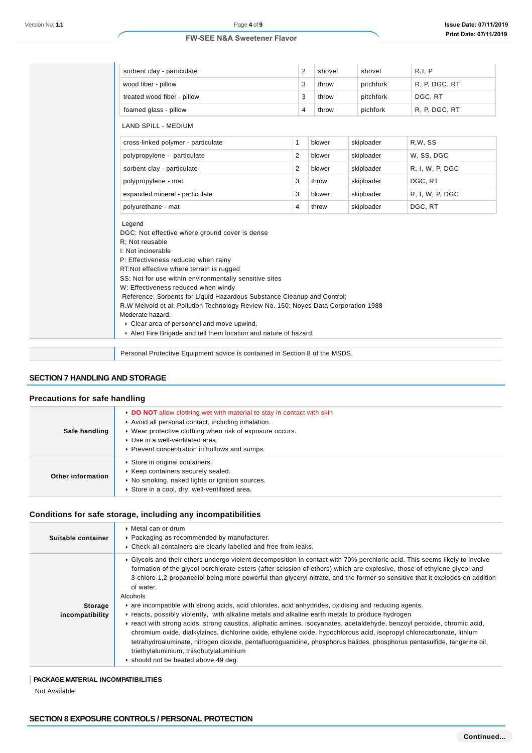| sorbent clay - particulate                                                                                                                                                                                                                                                                                                                                                                                                                                                                                                                                                                 | 2              | shovel | shovel     | R, I, P         |  |
|--------------------------------------------------------------------------------------------------------------------------------------------------------------------------------------------------------------------------------------------------------------------------------------------------------------------------------------------------------------------------------------------------------------------------------------------------------------------------------------------------------------------------------------------------------------------------------------------|----------------|--------|------------|-----------------|--|
| wood fiber - pillow                                                                                                                                                                                                                                                                                                                                                                                                                                                                                                                                                                        | 3              | throw  | pitchfork  | R. P. DGC, RT   |  |
| treated wood fiber - pillow                                                                                                                                                                                                                                                                                                                                                                                                                                                                                                                                                                | 3              | throw  | pitchfork  | DGC, RT         |  |
| foamed glass - pillow                                                                                                                                                                                                                                                                                                                                                                                                                                                                                                                                                                      | 4              | throw  | pichfork   | R. P. DGC, RT   |  |
| <b>LAND SPILL - MEDIUM</b>                                                                                                                                                                                                                                                                                                                                                                                                                                                                                                                                                                 |                |        |            |                 |  |
| cross-linked polymer - particulate                                                                                                                                                                                                                                                                                                                                                                                                                                                                                                                                                         | $\mathbf{1}$   | blower | skiploader | R,W, SS         |  |
| polypropylene - particulate                                                                                                                                                                                                                                                                                                                                                                                                                                                                                                                                                                | $\overline{2}$ | blower | skiploader | W. SS, DGC      |  |
| sorbent clay - particulate                                                                                                                                                                                                                                                                                                                                                                                                                                                                                                                                                                 | 2              | blower | skiploader | R. I. W. P. DGC |  |
| polypropylene - mat                                                                                                                                                                                                                                                                                                                                                                                                                                                                                                                                                                        | 3              | throw  | skiploader | DGC, RT         |  |
| expanded mineral - particulate                                                                                                                                                                                                                                                                                                                                                                                                                                                                                                                                                             | 3              | blower | skiploader | R, I, W, P, DGC |  |
| polyurethane - mat                                                                                                                                                                                                                                                                                                                                                                                                                                                                                                                                                                         | 4              | throw  | skiploader | DGC, RT         |  |
| Legend<br>DGC: Not effective where ground cover is dense<br>R: Not reusable<br>I: Not incinerable<br>P: Effectiveness reduced when rainy<br>RT:Not effective where terrain is rugged<br>SS: Not for use within environmentally sensitive sites<br>W: Effectiveness reduced when windy<br>Reference: Sorbents for Liquid Hazardous Substance Cleanup and Control;<br>R.W Melvold et al: Pollution Technology Review No. 150: Noyes Data Corporation 1988<br>Moderate hazard.<br>Clear area of personnel and move upwind.<br>Alert Fire Brigade and tell them location and nature of hazard. |                |        |            |                 |  |
|                                                                                                                                                                                                                                                                                                                                                                                                                                                                                                                                                                                            |                |        |            |                 |  |
| Personal Protective Equipment advice is contained in Section 8 of the MSDS.                                                                                                                                                                                                                                                                                                                                                                                                                                                                                                                |                |        |            |                 |  |

# **SECTION 7 HANDLING AND STORAGE**

# **Precautions for safe handling**

| Safe handling     | DO NOT allow clothing wet with material to stay in contact with skin<br>Avoid all personal contact, including inhalation.<br>• Wear protective clothing when risk of exposure occurs.<br>▶ Use in a well-ventilated area.<br>▶ Prevent concentration in hollows and sumps. |
|-------------------|----------------------------------------------------------------------------------------------------------------------------------------------------------------------------------------------------------------------------------------------------------------------------|
| Other information | Store in original containers.<br>▶ Keep containers securely sealed.<br>• No smoking, naked lights or ignition sources.<br>Store in a cool, dry, well-ventilated area.                                                                                                      |

# **Conditions for safe storage, including any incompatibilities**

| Suitable container         | $\triangleright$ Metal can or drum<br>• Packaging as recommended by manufacturer.<br>• Check all containers are clearly labelled and free from leaks.                                                                                                                                                                                                                                                                                                                                                                                                                                   |
|----------------------------|-----------------------------------------------------------------------------------------------------------------------------------------------------------------------------------------------------------------------------------------------------------------------------------------------------------------------------------------------------------------------------------------------------------------------------------------------------------------------------------------------------------------------------------------------------------------------------------------|
|                            | ► Glycols and their ethers undergo violent decomposition in contact with 70% perchloric acid. This seems likely to involve<br>formation of the glycol perchlorate esters (after scission of ethers) which are explosive, those of ethylene glycol and<br>3-chloro-1,2-propanediol being more powerful than glyceryl nitrate, and the former so sensitive that it explodes on addition<br>of water.<br>Alcohols                                                                                                                                                                          |
| Storage<br>incompatibility | are incompatible with strong acids, acid chlorides, acid anhydrides, oxidising and reducing agents.<br>Freacts, possibly violently, with alkaline metals and alkaline earth metals to produce hydrogen<br>▶ react with strong acids, strong caustics, aliphatic amines, isocyanates, acetaldehyde, benzoyl peroxide, chromic acid,<br>chromium oxide, dialkylzincs, dichlorine oxide, ethylene oxide, hypochlorous acid, isopropyl chlorocarbonate, lithium<br>tetrahydroaluminate, nitrogen dioxide, pentafluoroguanidine, phosphorus halides, phosphorus pentasulfide, tangerine oil, |
|                            | triethylaluminium, triisobutylaluminium<br>▶ should not be heated above 49 deg.                                                                                                                                                                                                                                                                                                                                                                                                                                                                                                         |

### **PACKAGE MATERIAL INCOMPATIBILITIES**

Not Available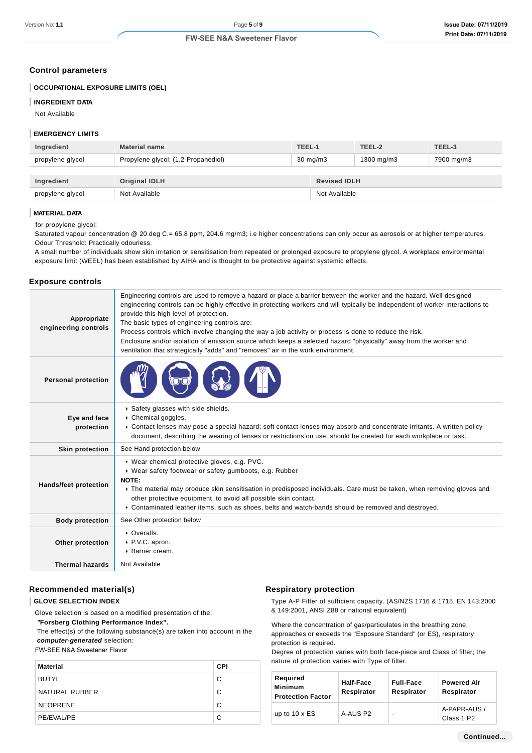### **Control parameters**

### **OCCUPATIONAL EXPOSURE LIMITS (OEL)**

#### **INGREDIENT DATA**

Not Available

# **EMERGENCY LIMITS**

| Ingredient       | <b>Material name</b>                |                   | TEEL-1              | TEEL-2        | TEEL-3     |  |
|------------------|-------------------------------------|-------------------|---------------------|---------------|------------|--|
| propylene glycol | Propylene glycol; (1,2-Propanediol) | $30 \text{ mg/m}$ |                     | 1300 mg/m $3$ | 7900 mg/m3 |  |
|                  |                                     |                   |                     |               |            |  |
| Ingredient       | <b>Original IDLH</b>                |                   | <b>Revised IDLH</b> |               |            |  |
| propylene glycol | Not Available                       |                   | Not Available       |               |            |  |

#### **MATERIAL DATA**

for propylene glycol:

Saturated vapour concentration @ 20 deg C.= 65.8 ppm, 204.6 mg/m3; i.e higher concentrations can only occur as aerosols or at higher temperatures. Odour Threshold: Practically odourless.

A small number of individuals show skin irritation or sensitisation from repeated or prolonged exposure to propylene glycol. A workplace environmental exposure limit (WEEL) has been established by AIHA and is thought to be protective against systemic effects.

#### **Exposure controls**

| Appropriate<br>engineering controls | Engineering controls are used to remove a hazard or place a barrier between the worker and the hazard. Well-designed<br>engineering controls can be highly effective in protecting workers and will typically be independent of worker interactions to<br>provide this high level of protection.<br>The basic types of engineering controls are:<br>Process controls which involve changing the way a job activity or process is done to reduce the risk.<br>Enclosure and/or isolation of emission source which keeps a selected hazard "physically" away from the worker and<br>ventilation that strategically "adds" and "removes" air in the work environment. |
|-------------------------------------|--------------------------------------------------------------------------------------------------------------------------------------------------------------------------------------------------------------------------------------------------------------------------------------------------------------------------------------------------------------------------------------------------------------------------------------------------------------------------------------------------------------------------------------------------------------------------------------------------------------------------------------------------------------------|
| <b>Personal protection</b>          |                                                                                                                                                                                                                                                                                                                                                                                                                                                                                                                                                                                                                                                                    |
| Eye and face<br>protection          | Safety glasses with side shields.<br>Chemical goggles.<br>▶ Contact lenses may pose a special hazard; soft contact lenses may absorb and concentrate irritants. A written policy<br>document, describing the wearing of lenses or restrictions on use, should be created for each workplace or task.                                                                                                                                                                                                                                                                                                                                                               |
| <b>Skin protection</b>              | See Hand protection below                                                                                                                                                                                                                                                                                                                                                                                                                                                                                                                                                                                                                                          |
| <b>Hands/feet protection</b>        | ▶ Wear chemical protective gloves, e.g. PVC.<br>▶ Wear safety footwear or safety gumboots, e.g. Rubber<br>NOTE:<br>The material may produce skin sensitisation in predisposed individuals. Care must be taken, when removing gloves and<br>other protective equipment, to avoid all possible skin contact.<br>▶ Contaminated leather items, such as shoes, belts and watch-bands should be removed and destroyed.                                                                                                                                                                                                                                                  |
| <b>Body protection</b>              | See Other protection below                                                                                                                                                                                                                                                                                                                                                                                                                                                                                                                                                                                                                                         |
| Other protection                    | • Overalls.<br>▶ P.V.C. apron.<br>▶ Barrier cream.                                                                                                                                                                                                                                                                                                                                                                                                                                                                                                                                                                                                                 |
| <b>Thermal hazards</b>              | Not Available                                                                                                                                                                                                                                                                                                                                                                                                                                                                                                                                                                                                                                                      |

# **Recommended material(s)**

#### **GLOVE SELECTION INDEX**

Glove selection is based on a modified presentation of the:

 **"Forsberg Clothing Performance Index".**

 The effect(s) of the following substance(s) are taken into account in the **computer-generated** selection:

FW-SEE N&A Sweetener Flavor

| Material        | <b>CPI</b> |
|-----------------|------------|
| <b>BUTYL</b>    | C          |
| NATURAL RUBBER  | C          |
| <b>NEOPRENE</b> | C          |
| PE/EVAL/PE      | C          |

#### **Respiratory protection**

Type A-P Filter of sufficient capacity. (AS/NZS 1716 & 1715, EN 143:2000 & 149:2001, ANSI Z88 or national equivalent)

Where the concentration of gas/particulates in the breathing zone, approaches or exceeds the "Exposure Standard" (or ES), respiratory protection is required.

Degree of protection varies with both face-piece and Class of filter; the nature of protection varies with Type of filter.

| Required<br>Minimum<br><b>Protection Factor</b> | Half-Face<br>Respirator | <b>Full-Face</b><br>Respirator | <b>Powered Air</b><br>Respirator       |  |
|-------------------------------------------------|-------------------------|--------------------------------|----------------------------------------|--|
| up to $10 \times ES$                            | A-AUS P2                | $\overline{\phantom{a}}$       | A-PAPR-AUS /<br>Class 1 P <sub>2</sub> |  |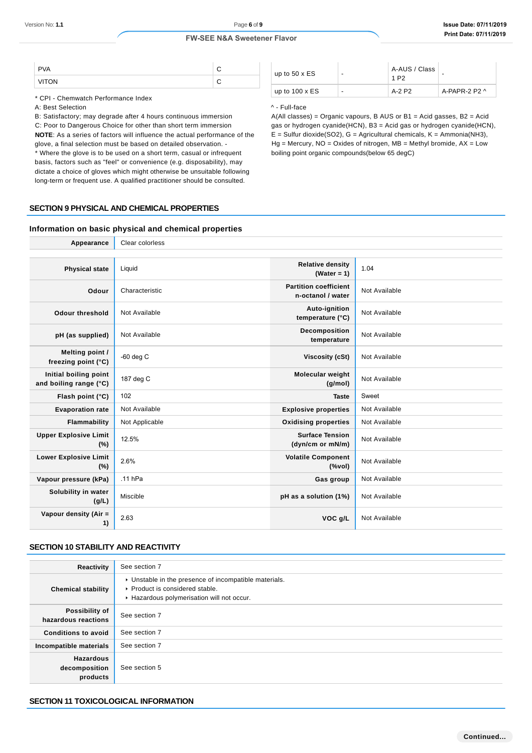| <b>PVA</b> |  |
|------------|--|
| λN         |  |

\* CPI - Chemwatch Performance Index

A: Best Selection

B: Satisfactory; may degrade after 4 hours continuous immersion

C: Poor to Dangerous Choice for other than short term immersion **NOTE**: As a series of factors will influence the actual performance of the glove, a final selection must be based on detailed observation. - \* Where the glove is to be used on a short term, casual or infrequent basis, factors such as "feel" or convenience (e.g. disposability), may dictate a choice of gloves which might otherwise be unsuitable following long-term or frequent use. A qualified practitioner should be consulted.

| up to $50 \times ES$  | - | A-AUS / Class<br>1 P <sub>2</sub> | -             |
|-----------------------|---|-----------------------------------|---------------|
| up to $100 \times ES$ | - | A-2 P2                            | A-PAPR-2 P2 ^ |

#### ^ - Full-face

A(All classes) = Organic vapours, B AUS or B1 = Acid gasses, B2 = Acid gas or hydrogen cyanide(HCN), B3 = Acid gas or hydrogen cyanide(HCN),  $E =$  Sulfur dioxide(SO2), G = Agricultural chemicals, K = Ammonia(NH3),  $Hg$  = Mercury, NO = Oxides of nitrogen, MB = Methyl bromide,  $AX = Low$ boiling point organic compounds(below 65 degC)

#### **SECTION 9 PHYSICAL AND CHEMICAL PROPERTIES**

### **Information on basic physical and chemical properties**

| Appearance                                      | Clear colorless |                                                                |               |
|-------------------------------------------------|-----------------|----------------------------------------------------------------|---------------|
|                                                 |                 |                                                                |               |
| <b>Physical state</b>                           | Liquid          | <b>Relative density</b><br>$(Water = 1)$                       | 1.04          |
| Odour                                           | Characteristic  | <b>Partition coefficient</b><br>n-octanol / water              | Not Available |
| <b>Odour threshold</b>                          | Not Available   | Auto-ignition<br>temperature (°C)                              | Not Available |
| pH (as supplied)                                | Not Available   | Decomposition<br>temperature                                   | Not Available |
| Melting point /<br>freezing point (°C)          | $-60$ deg $C$   | <b>Viscosity (cSt)</b>                                         | Not Available |
| Initial boiling point<br>and boiling range (°C) | 187 deg C       | <b>Molecular weight</b><br>(g/mol)                             | Not Available |
| Flash point (°C)                                | 102             | <b>Taste</b>                                                   | Sweet         |
| <b>Evaporation rate</b>                         | Not Available   | <b>Explosive properties</b>                                    | Not Available |
| Flammability                                    | Not Applicable  | <b>Oxidising properties</b>                                    | Not Available |
| <b>Upper Explosive Limit</b><br>(%)             | 12.5%           | <b>Surface Tension</b><br>(dyn/cm or mN/m)                     | Not Available |
| <b>Lower Explosive Limit</b><br>$(\%)$          | 2.6%            | <b>Volatile Component</b><br>$(% \mathcal{L}_{0}^{\infty}$ (%) | Not Available |
| Vapour pressure (kPa)                           | $.11$ hPa       | Gas group                                                      | Not Available |
| Solubility in water<br>(g/L)                    | Miscible        | pH as a solution (1%)                                          | Not Available |
| Vapour density (Air =<br>1)                     | 2.63            | VOC g/L                                                        | Not Available |

# **SECTION 10 STABILITY AND REACTIVITY**

| Reactivity                                    | See section 7                                                                                                                        |
|-----------------------------------------------|--------------------------------------------------------------------------------------------------------------------------------------|
| <b>Chemical stability</b>                     | • Unstable in the presence of incompatible materials.<br>▶ Product is considered stable.<br>Hazardous polymerisation will not occur. |
| Possibility of<br>hazardous reactions         | See section 7                                                                                                                        |
| <b>Conditions to avoid</b>                    | See section 7                                                                                                                        |
| Incompatible materials                        | See section 7                                                                                                                        |
| <b>Hazardous</b><br>decomposition<br>products | See section 5                                                                                                                        |

# **SECTION 11 TOXICOLOGICAL INFORMATION**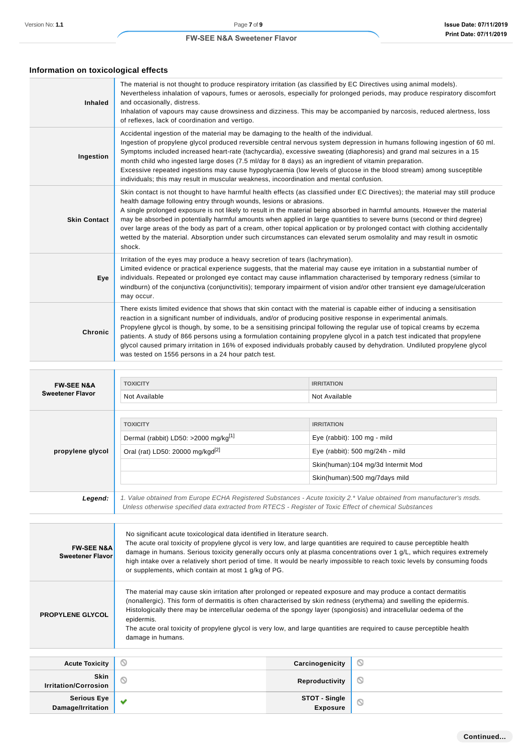# **Information on toxicological effects**

| <b>Inhaled</b>      | The material is not thought to produce respiratory irritation (as classified by EC Directives using animal models).<br>Nevertheless inhalation of vapours, fumes or aerosols, especially for prolonged periods, may produce respiratory discomfort<br>and occasionally, distress.<br>Inhalation of vapours may cause drowsiness and dizziness. This may be accompanied by narcosis, reduced alertness, loss<br>of reflexes, lack of coordination and vertigo.                                                                                                                                                                                                                                                                      |
|---------------------|------------------------------------------------------------------------------------------------------------------------------------------------------------------------------------------------------------------------------------------------------------------------------------------------------------------------------------------------------------------------------------------------------------------------------------------------------------------------------------------------------------------------------------------------------------------------------------------------------------------------------------------------------------------------------------------------------------------------------------|
| Ingestion           | Accidental ingestion of the material may be damaging to the health of the individual.<br>Ingestion of propylene glycol produced reversible central nervous system depression in humans following ingestion of 60 ml.<br>Symptoms included increased heart-rate (tachycardia), excessive sweating (diaphoresis) and grand mal seizures in a 15<br>month child who ingested large doses (7.5 ml/day for 8 days) as an ingredient of vitamin preparation.<br>Excessive repeated ingestions may cause hypoglycaemia (low levels of glucose in the blood stream) among susceptible<br>individuals; this may result in muscular weakness, incoordination and mental confusion.                                                           |
| <b>Skin Contact</b> | Skin contact is not thought to have harmful health effects (as classified under EC Directives); the material may still produce<br>health damage following entry through wounds, lesions or abrasions.<br>A single prolonged exposure is not likely to result in the material being absorbed in harmful amounts. However the material<br>may be absorbed in potentially harmful amounts when applied in large quantities to severe burns (second or third degree)<br>over large areas of the body as part of a cream, other topical application or by prolonged contact with clothing accidentally<br>wetted by the material. Absorption under such circumstances can elevated serum osmolality and may result in osmotic<br>shock. |
| Eye                 | Irritation of the eyes may produce a heavy secretion of tears (lachrymation).<br>Limited evidence or practical experience suggests, that the material may cause eye irritation in a substantial number of<br>individuals. Repeated or prolonged eye contact may cause inflammation characterised by temporary redness (similar to<br>windburn) of the conjunctiva (conjunctivitis); temporary impairment of vision and/or other transient eye damage/ulceration<br>may occur.                                                                                                                                                                                                                                                      |
| Chronic             | There exists limited evidence that shows that skin contact with the material is capable either of inducing a sensitisation<br>reaction in a significant number of individuals, and/or of producing positive response in experimental animals.<br>Propylene glycol is though, by some, to be a sensitising principal following the regular use of topical creams by eczema<br>patients. A study of 866 persons using a formulation containing propylene glycol in a patch test indicated that propylene<br>glycol caused primary irritation in 16% of exposed individuals probably caused by dehydration. Undiluted propylene glycol<br>was tested on 1556 persons in a 24 hour patch test.                                         |

| <b>FW-SEE N&amp;A</b>   | <b>TOXICITY</b>                                                                                                                                                                                                                  | <b>IRRITATION</b>                                |  |
|-------------------------|----------------------------------------------------------------------------------------------------------------------------------------------------------------------------------------------------------------------------------|--------------------------------------------------|--|
| <b>Sweetener Flavor</b> | Not Available                                                                                                                                                                                                                    | Not Available                                    |  |
|                         |                                                                                                                                                                                                                                  |                                                  |  |
|                         | <b>TOXICITY</b>                                                                                                                                                                                                                  | <b>IRRITATION</b>                                |  |
|                         | Dermal (rabbit) LD50: >2000 mg/kg <sup>[1]</sup>                                                                                                                                                                                 | Eye (rabbit): 100 mg - mild                      |  |
| propylene glycol        | Oral (rat) LD50: 20000 mg/kgd <sup>[2]</sup>                                                                                                                                                                                     | Eye (rabbit): $500 \text{ mg}/24h - \text{mild}$ |  |
|                         |                                                                                                                                                                                                                                  | Skin(human):104 mg/3d Intermit Mod               |  |
|                         |                                                                                                                                                                                                                                  | Skin(human):500 mg/7days mild                    |  |
| Legend:                 |                                                                                                                                                                                                                                  |                                                  |  |
|                         | 1. Value obtained from Europe ECHA Registered Substances - Acute toxicity 2.* Value obtained from manufacturer's msds.<br>Unless otherwise specified data extracted from RTECS - Register of Toxic Effect of chemical Substances |                                                  |  |
|                         |                                                                                                                                                                                                                                  |                                                  |  |
|                         |                                                                                                                                                                                                                                  |                                                  |  |

| <b>FW-SEE N&amp;A</b><br><b>Sweetener Flavor</b> | No significant acute toxicological data identified in literature search.<br>The acute oral toxicity of propylene glycol is very low, and large quantities are required to cause perceptible health<br>damage in humans. Serious toxicity generally occurs only at plasma concentrations over 1 g/L, which requires extremely<br>high intake over a relatively short period of time. It would be nearly impossible to reach toxic levels by consuming foods<br>or supplements, which contain at most 1 g/kg of PG.          |
|--------------------------------------------------|----------------------------------------------------------------------------------------------------------------------------------------------------------------------------------------------------------------------------------------------------------------------------------------------------------------------------------------------------------------------------------------------------------------------------------------------------------------------------------------------------------------------------|
| <b>PROPYLENE GLYCOL</b>                          | The material may cause skin irritation after prolonged or repeated exposure and may produce a contact dermatitis<br>(nonallergic). This form of dermatitis is often characterised by skin redness (erythema) and swelling the epidermis.<br>Histologically there may be intercellular oedema of the spongy layer (spongiosis) and intracellular oedema of the<br>epidermis.<br>The acute oral toxicity of propylene glycol is very low, and large quantities are required to cause perceptible health<br>damage in humans. |

| <b>Acute Toxicity</b>               | $\circ$      | Carcinogenicity                   | V |
|-------------------------------------|--------------|-----------------------------------|---|
| <b>Skin</b><br>Irritation/Corrosion |              | Reproductivity                    | O |
| Serious Eye<br>Damage/Irritation    | $\checkmark$ | <b>STOT - Single<br/>Exposure</b> |   |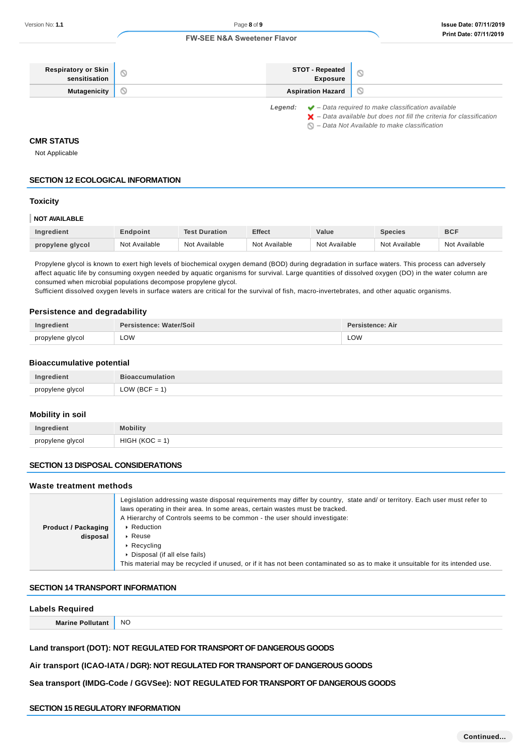| <b>Respiratory or Skin</b> | STOT - Repeated<br>Exposure |                                                                                                     |
|----------------------------|-----------------------------|-----------------------------------------------------------------------------------------------------|
| <b>Mutagenicity</b>        | <b>Aspiration Hazard</b>    |                                                                                                     |
|                            |                             | $\bullet$ and $\bullet$ $\bullet$ $\bullet$ and $\bullet$ required to make classification available |

**Legend:** – Data required to make classification available

 $\blacktriangleright$  – Data available but does not fill the criteria for classification  $\bigcirc$  – Data Not Available to make classification

### **CMR STATUS**

Not Applicable

# **SECTION 12 ECOLOGICAL INFORMATION**

# **Toxicity**

#### **NOT AVAILABLE**

| <b>Ingredient</b> | Endpoint      | <b>Test Duration</b> | <b>Effect</b> | Value         | <b>Species</b> | <b>BCF</b>    |
|-------------------|---------------|----------------------|---------------|---------------|----------------|---------------|
| propylene glycol  | Not Available | Not Available        | Not Available | Not Available | Not Available  | Not Available |

Propylene glycol is known to exert high levels of biochemical oxygen demand (BOD) during degradation in surface waters. This process can adversely affect aquatic life by consuming oxygen needed by aquatic organisms for survival. Large quantities of dissolved oxygen (DO) in the water column are consumed when microbial populations decompose propylene glycol.

Sufficient dissolved oxygen levels in surface waters are critical for the survival of fish, macro-invertebrates, and other aquatic organisms.

# **Persistence and degradability**

| Ingredient       | Persistence: Water/Soil | Persistence: Air |
|------------------|-------------------------|------------------|
| propylene glycol | LOW                     | LOW              |

#### **Bioaccumulative potential**

| Ingredient       | <b>Bioaccumulation</b> |
|------------------|------------------------|
| propylene glycol | $LOW (BCF = 1)$        |

#### **Mobility in soil**

| Ingredient       | <b>Aobility</b>          |
|------------------|--------------------------|
| propylene glycol | HIGF                     |
|                  | $\overline{\phantom{0}}$ |

# **SECTION 13 DISPOSAL CONSIDERATIONS**

### **Waste treatment methods**

| <b>Product / Packaging</b><br>disposal | Legislation addressing waste disposal requirements may differ by country, state and/ or territory. Each user must refer to<br>laws operating in their area. In some areas, certain wastes must be tracked.<br>A Hierarchy of Controls seems to be common - the user should investigate:<br>▶ Reduction<br>$\triangleright$ Reuse |
|----------------------------------------|----------------------------------------------------------------------------------------------------------------------------------------------------------------------------------------------------------------------------------------------------------------------------------------------------------------------------------|
|                                        | $\triangleright$ Recycling<br>• Disposal (if all else fails)<br>This material may be recycled if unused, or if it has not been contaminated so as to make it unsuitable for its intended use.                                                                                                                                    |

### **SECTION 14 TRANSPORT INFORMATION**

#### **Labels Required**

**Marine Pollutant** NO

**Land transport (DOT): NOT REGULATED FOR TRANSPORT OF DANGEROUS GOODS**

# **Air transport (ICAO-IATA / DGR): NOT REGULATED FOR TRANSPORT OF DANGEROUS GOODS**

**Sea transport (IMDG-Code / GGVSee): NOT REGULATED FOR TRANSPORT OF DANGEROUS GOODS**

# **SECTION 15 REGULATORY INFORMATION**